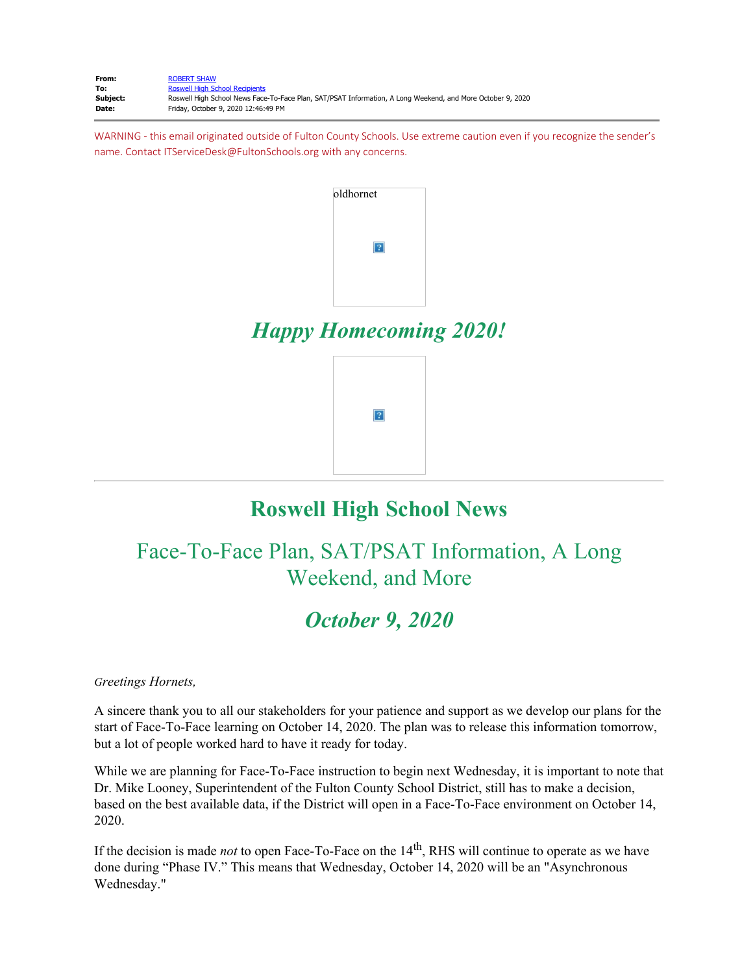| From:    | <b>ROBERT SHAW</b>                                                                                         |
|----------|------------------------------------------------------------------------------------------------------------|
| To:      | <b>Roswell High School Recipients</b>                                                                      |
| Subject: | Roswell High School News Face-To-Face Plan, SAT/PSAT Information, A Long Weekend, and More October 9, 2020 |
| Date:    | Friday, October 9, 2020 12:46:49 PM                                                                        |

WARNING - this email originated outside of Fulton County Schools. Use extreme caution even if you recognize the sender's name. Contact ITServiceDesk@FultonSchools.org with any concerns.



# **Roswell High School News**

# Face-To-Face Plan, SAT/PSAT Information, A Long Weekend, and More

### *October 9, 2020*

*Greetings Hornets,* 

A sincere thank you to all our stakeholders for your patience and support as we develop our plans for the start of Face-To-Face learning on October 14, 2020. The plan was to release this information tomorrow, but a lot of people worked hard to have it ready for today.

While we are planning for Face-To-Face instruction to begin next Wednesday, it is important to note that Dr. Mike Looney, Superintendent of the Fulton County School District, still has to make a decision, based on the best available data, if the District will open in a Face-To-Face environment on October 14, 2020.

If the decision is made *not* to open Face-To-Face on the 14<sup>th</sup>, RHS will continue to operate as we have done during "Phase IV." This means that Wednesday, October 14, 2020 will be an "Asynchronous Wednesday."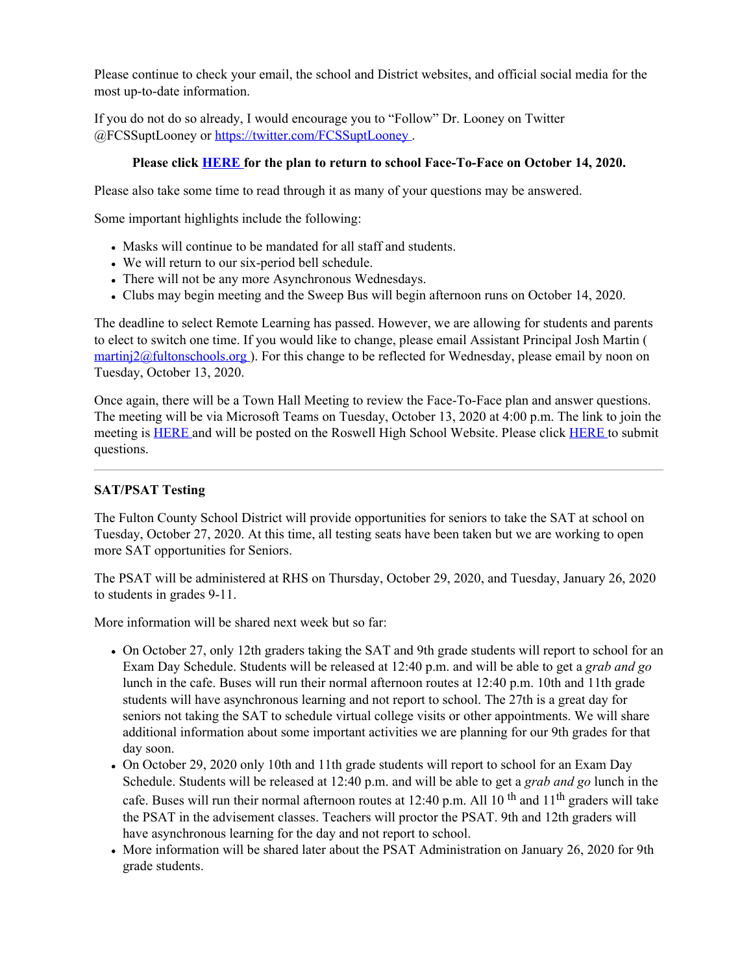Please continue to check your email, the school and District websites, and official social media for the most up-to-date information.

If you do not do so already, I would encourage you to "Follow" Dr. Looney on Twitter @FCSSuptLooney or [https://twitter.com/FCSSuptLooney](https://nam03.safelinks.protection.outlook.com/?url=https%3A%2F%2Ftwitter.com%2FFCSSuptLooney&data=02%7C01%7Cmurphys%40fultonschools.org%7Ce51b1425c87e493d690d08d86c72d706%7C0cdcb19881694b70ba9fda7e3ba700c2%7C1%7C0%7C637378588078738921&sdata=LM4xc7TkXyJ2WoPNpAjc1OUs3OVZUMi1963ux2b0Xiw%3D&reserved=0) .

#### **Please click [HERE](https://nam03.safelinks.protection.outlook.com/?url=http%3A%2F%2Fnew.shawadmin.com%2FRoswell%2FPublic%2FF2FPlanCommunity10-14-20.pdf&data=02%7C01%7Cmurphys%40fultonschools.org%7Ce51b1425c87e493d690d08d86c72d706%7C0cdcb19881694b70ba9fda7e3ba700c2%7C1%7C0%7C637378588078738921&sdata=UT7wkld0Jqfcr9ENVy9hZmi0DjoETiKF3%2FFx7uZRprc%3D&reserved=0) for the plan to return to school Face-To-Face on October 14, 2020.**

Please also take some time to read through it as many of your questions may be answered.

Some important highlights include the following:

- Masks will continue to be mandated for all staff and students.
- We will return to our six-period bell schedule.
- There will not be any more Asynchronous Wednesdays.
- Clubs may begin meeting and the Sweep Bus will begin afternoon runs on October 14, 2020.

The deadline to select Remote Learning has passed. However, we are allowing for students and parents to elect to switch one time. If you would like to change, please email Assistant Principal Josh Martin (  $\frac{\text{martini2@fulltonschools.org}}{\text{martin2@fulltonschools.org}}$ . For this change to be reflected for Wednesday, please email by noon on Tuesday, October 13, 2020.

Once again, there will be a Town Hall Meeting to review the Face-To-Face plan and answer questions. The meeting will be via Microsoft Teams on Tuesday, October 13, 2020 at 4:00 p.m. The link to join the meeting is [HERE](https://teams.microsoft.com/l/meetup-join/19%3ameeting_NjAzNzBlZTMtMjE3MS00OTBiLWE3OWEtMTYwYzVmYjY1YjI5%40thread.v2/0?context=%7b%22Tid%22%3a%220cdcb198-8169-4b70-ba9f-da7e3ba700c2%22%2c%22Oid%22%3a%2274f5f227-ca94-476d-8bd0-3d1613f1cb75%22%2c%22IsBroadcastMeeting%22%3atrue%7d) and will be posted on the Roswell High School Website. Please click [HERE](https://forms.office.com/Pages/ResponsePage.aspx?id=mLHcDGmBcEu6n9p-O6cAwify9XSUym1Hi9A9FhPxy3VURFE2WExFVEFKMlFPSzFaOUJRWUlURkxNUy4u) to submit questions.

#### **SAT/PSAT Testing**

The Fulton County School District will provide opportunities for seniors to take the SAT at school on Tuesday, October 27, 2020. At this time, all testing seats have been taken but we are working to open more SAT opportunities for Seniors.

The PSAT will be administered at RHS on Thursday, October 29, 2020, and Tuesday, January 26, 2020 to students in grades 9-11.

More information will be shared next week but so far:

- On October 27, only 12th graders taking the SAT and 9th grade students will report to school for an Exam Day Schedule. Students will be released at 12:40 p.m. and will be able to get a *grab and go* lunch in the cafe. Buses will run their normal afternoon routes at 12:40 p.m. 10th and 11th grade students will have asynchronous learning and not report to school. The 27th is a great day for seniors not taking the SAT to schedule virtual college visits or other appointments. We will share additional information about some important activities we are planning for our 9th grades for that day soon.
- On October 29, 2020 only 10th and 11th grade students will report to school for an Exam Day Schedule. Students will be released at 12:40 p.m. and will be able to get a *grab and go* lunch in the cafe. Buses will run their normal afternoon routes at 12:40 p.m. All 10<sup>th</sup> and 11<sup>th</sup> graders will take the PSAT in the advisement classes. Teachers will proctor the PSAT. 9th and 12th graders will have asynchronous learning for the day and not report to school.
- More information will be shared later about the PSAT Administration on January 26, 2020 for 9th grade students.